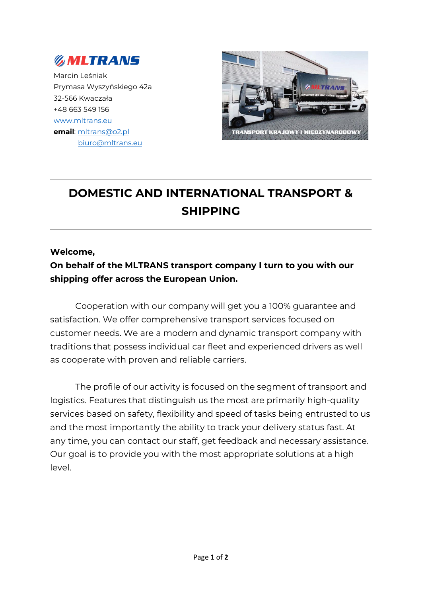

Marcin Leśniak Prymasa Wyszyńskiego 42a 32-566 Kwaczała +48 663 549 156 [www.mltrans.eu](http://www.mltrans.eu/) **email**: [mltrans@o2.pl](mailto:mltrans@o2.pl) [biuro@mltrans.eu](mailto:biuro@mltrans.eu)



## **DOMESTIC AND INTERNATIONAL TRANSPORT & SHIPPING**

## **Welcome,**

## **On behalf of the MLTRANS transport company I turn to you with our shipping offer across the European Union.**

Cooperation with our company will get you a 100% guarantee and satisfaction. We offer comprehensive transport services focused on customer needs. We are a modern and dynamic transport company with traditions that possess individual car fleet and experienced drivers as well as cooperate with proven and reliable carriers.

The profile of our activity is focused on the segment of transport and logistics. Features that distinguish us the most are primarily high-quality services based on safety, flexibility and speed of tasks being entrusted to us and the most importantly the ability to track your delivery status fast. At any time, you can contact our staff, get feedback and necessary assistance. Our goal is to provide you with the most appropriate solutions at a high level.